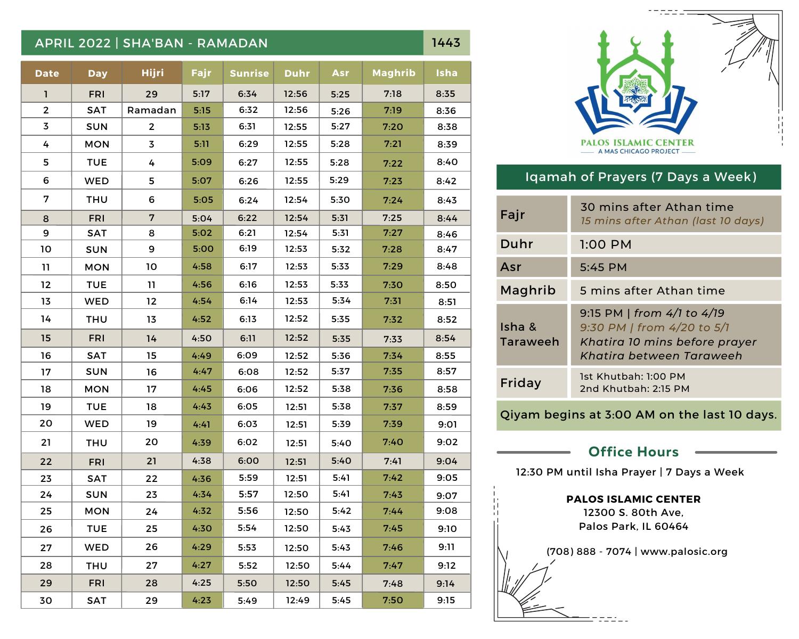## APRIL 2022 | SHA'BAN - RAMADAN 1443

**Date Day Hijri Fajr Sunrise Duhr Asr Maghrib Isha** 30 29 17 1 2 3 4 5 6 8 9 10 11 12 13 15 16 18 19 20 21 22 23 24 25 26 27 28 FRI SAT SUN TUE **WED** THU FRI **SAT** SUN TUE **WED** THU FRI SAT SUN TUE WED THU **SAT** SUN TUE **WED** THU 29 Ramadan 2 4 5 6 7 8 9 10 11 12 13 14 15 16 17 18 19 20 21 22 23 24 25 26 27 28 29 5:17 5:15 5:13 5:11 5:09 5:07 5:05 5:04 5:02 5:00 4:58 4:56 4:54 4:52 4:50 4:49 4:47 4:45 4:43 4:41 4:39 4:38 4:36 4:34 4:32 4:29 4:30 4:27 4:25 4:23 6:34 6:31 6:29 6:27 6:26 6:24 6:22 6:21 6:19 6:17 6:16 6:14 6:13 6:11 6:09 6:08 6:06 6:05 6:03 6:02 6:00 5:59 5:57 5:56 5:54 5:53 5:52 5:50 5:49 12:56 12:56 12:55 12:55 12:55 12:55 12:54 12:54 12:54 12:53 12:53 12:53 12:53 12:52 12:52 12:52 12:52 12:52 12:51 12:51 12:51 12:51 12:51 12:50 12:50 12:50 12:50 12:50 12:50 12:49 5:25 5:26 5:27 5:28 5:28 5:29 5:30 5:31 5:31 5:32 5:33 5:33 5:34 5:35 5:35 5:36 5:37 5:38 5:38 5:39 5:40 5:40 5:41 5:41 5:42 5:43 5:43 5:44 5:45 5:45 7:18 7:19 7:20 7:21 7:22 7:23 7:24 7:25 7:27 7:28 7:29 7:30 7:31 7:32 7:33 7:34 7:35 7:36 7:37 7:39 7:40 7:41 7:42 7:43 7:44 7:45 7:46 7:47 7:48 7:50 8:35 8:36 8:38 8:39 8:40 8:42 8:43 8:44 8:46 8:47 8:48 8:50 8:51 8:52 8:54 8:55 8:57 8:58 8:59 9:01 9:02 9:04 9:05 9:07 9:08 9:10 9:11 9:12 9:14 9:15 MON MON MON 7 MON 14 FRI FRI SAT 3 30 6:32



## Iqamah of Prayers (7 Days a Week)

| Fajr               | 30 mins after Athan time<br>15 mins after Athan (last 10 days)                                                        |
|--------------------|-----------------------------------------------------------------------------------------------------------------------|
| Duhr               | $1:00$ PM                                                                                                             |
| Asr                | $5:45$ PM                                                                                                             |
| Maghrib            | 5 mins after Athan time                                                                                               |
| Isha &<br>Taraweeh | 9:15 PM   from 4/1 to 4/19<br>9:30 PM   from 4/20 to 5/1<br>Khatira 10 mins before prayer<br>Khatira between Taraweeh |
| Friday             | 1st Khutbah: 1:00 PM<br>2nd Khutbah: 2:15 PM                                                                          |

Qiyam begins at 3:00 AM on the last 10 days.

# **Office Hours**

12:30 PM until Isha Prayer | 7 Days a Week

#### **PALOS ISLAMIC CENTER**

12300 S. 80th Ave, Palos Park, IL 60464



(708) 888 - 7074 | www.palosic.org